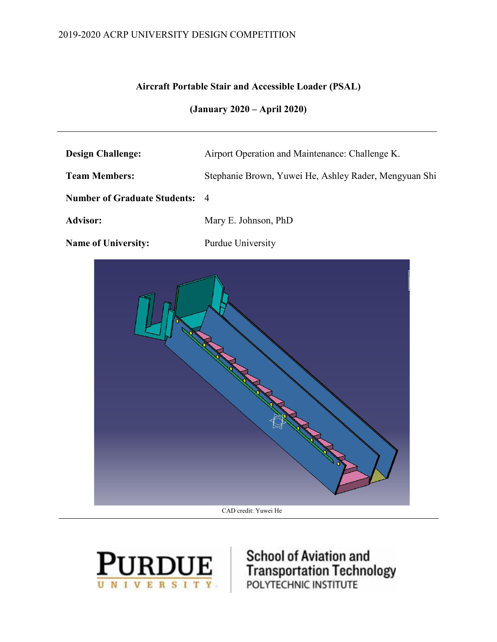## 2019-2020 ACRP UNIVERSITY DESIGN COMPETITION

## **Aircraft Portable Stair and Accessible Loader (PSAL)**

## **(January 2020 – April 2020)**

| <b>Design Challenge:</b>              | Airport Operation and Maintenance: Challenge K.       |
|---------------------------------------|-------------------------------------------------------|
| <b>Team Members:</b>                  | Stephanie Brown, Yuwei He, Ashley Rader, Mengyuan Shi |
| <b>Number of Graduate Students: 4</b> |                                                       |
| <b>Advisor:</b>                       | Mary E. Johnson, PhD                                  |
| Name of University.                   | Purdue University                                     |





**RDUE** FRITT SCHOOL OF AVIAtion and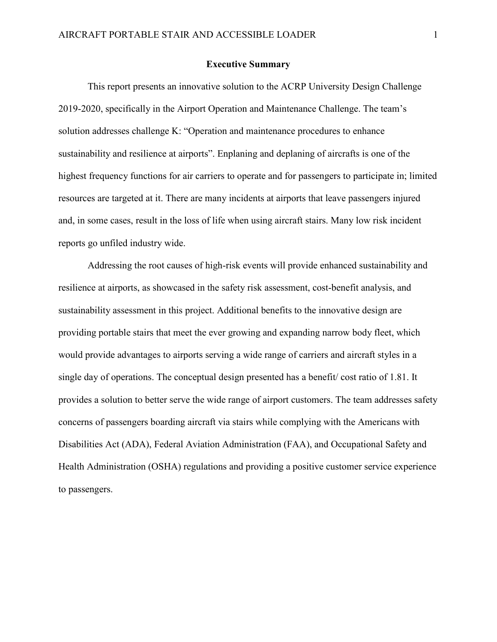#### **Executive Summary**

<span id="page-1-0"></span>This report presents an innovative solution to the ACRP University Design Challenge 2019-2020, specifically in the Airport Operation and Maintenance Challenge. The team's solution addresses challenge K: "Operation and maintenance procedures to enhance sustainability and resilience at airports". Enplaning and deplaning of aircrafts is one of the highest frequency functions for air carriers to operate and for passengers to participate in; limited resources are targeted at it. There are many incidents at airports that leave passengers injured and, in some cases, result in the loss of life when using aircraft stairs. Many low risk incident reports go unfiled industry wide.

Addressing the root causes of high-risk events will provide enhanced sustainability and resilience at airports, as showcased in the safety risk assessment, cost-benefit analysis, and sustainability assessment in this project. Additional benefits to the innovative design are providing portable stairs that meet the ever growing and expanding narrow body fleet, which would provide advantages to airports serving a wide range of carriers and aircraft styles in a single day of operations. The conceptual design presented has a benefit/ cost ratio of 1.81. It provides a solution to better serve the wide range of airport customers. The team addresses safety concerns of passengers boarding aircraft via stairs while complying with the Americans with Disabilities Act (ADA), Federal Aviation Administration (FAA), and Occupational Safety and Health Administration (OSHA) regulations and providing a positive customer service experience to passengers.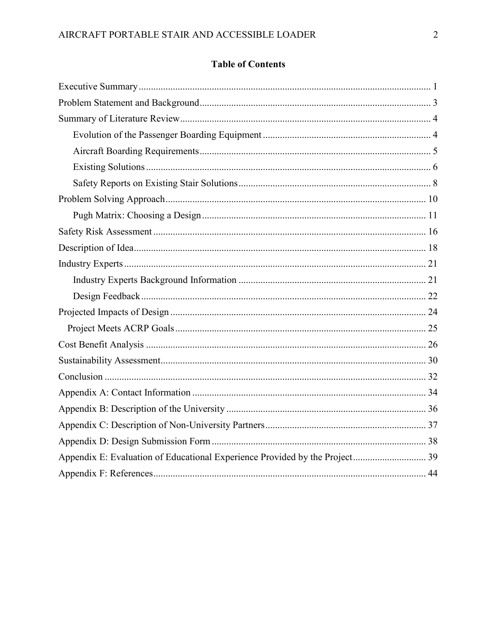## **Table of Contents**

<span id="page-2-0"></span>

| Appendix E: Evaluation of Educational Experience Provided by the Project 39 |  |
|-----------------------------------------------------------------------------|--|
|                                                                             |  |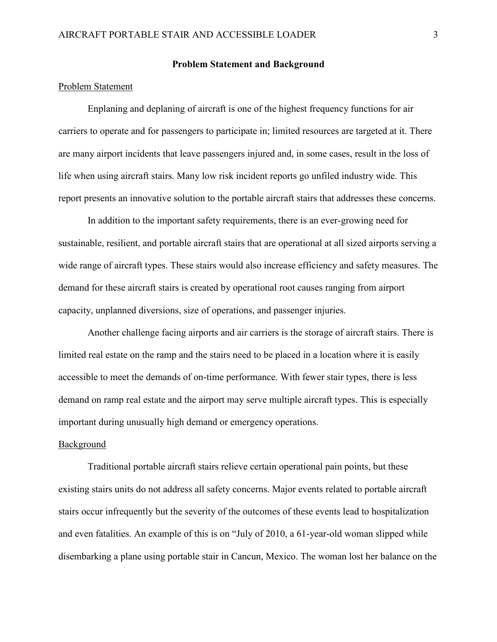#### **Problem Statement and Background**

#### Problem Statement

Enplaning and deplaning of aircraft is one of the highest frequency functions for air carriers to operate and for passengers to participate in; limited resources are targeted at it. There are many airport incidents that leave passengers injured and, in some cases, result in the loss of life when using aircraft stairs. Many low risk incident reports go unfiled industry wide. This report presents an innovative solution to the portable aircraft stairs that addresses these concerns.

In addition to the important safety requirements, there is an ever-growing need for sustainable, resilient, and portable aircraft stairs that are operational at all sized airports serving a wide range of aircraft types. These stairs would also increase efficiency and safety measures. The demand for these aircraft stairs is created by operational root causes ranging from airport capacity, unplanned diversions, size of operations, and passenger injuries.

Another challenge facing airports and air carriers is the storage of aircraft stairs. There is limited real estate on the ramp and the stairs need to be placed in a location where it is easily accessible to meet the demands of on-time performance. With fewer stair types, there is less demand on ramp real estate and the airport may serve multiple aircraft types. This is especially important during unusually high demand or emergency operations.

#### Background

Traditional portable aircraft stairs relieve certain operational pain points, but these existing stairs units do not address all safety concerns. Major events related to portable aircraft stairs occur infrequently but the severity of the outcomes of these events lead to hospitalization and even fatalities. An example of this is on "July of 2010, a 61-year-old woman slipped while disembarking a plane using portable stair in Cancun, Mexico. The woman lost her balance on the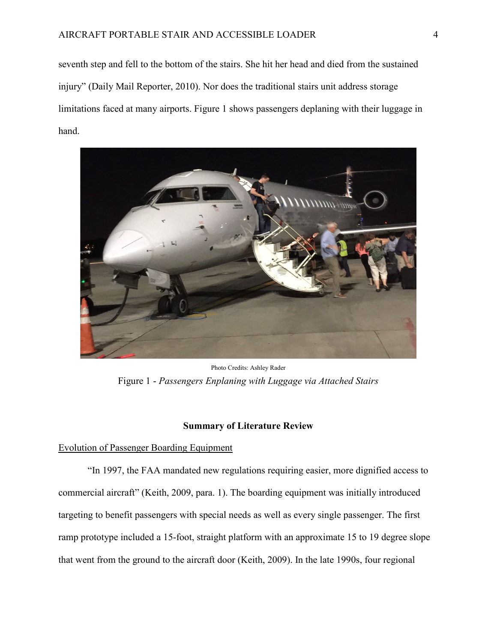seventh step and fell to the bottom of the stairs. She hit her head and died from the sustained injury" (Daily Mail Reporter, 2010). Nor does the traditional stairs unit address storage limitations faced at many airports. Figure 1 shows passengers deplaning with their luggage in hand.



Photo Credits: Ashley Rader Figure 1 - *Passengers Enplaning with Luggage via Attached Stairs*

### **Summary of Literature Review**

#### <span id="page-4-1"></span><span id="page-4-0"></span>Evolution of Passenger Boarding Equipment

"In 1997, the FAA mandated new regulations requiring easier, more dignified access to commercial aircraft" (Keith, 2009, para. 1). The boarding equipment was initially introduced targeting to benefit passengers with special needs as well as every single passenger. The first ramp prototype included a 15-foot, straight platform with an approximate 15 to 19 degree slope that went from the ground to the aircraft door (Keith, 2009). In the late 1990s, four regional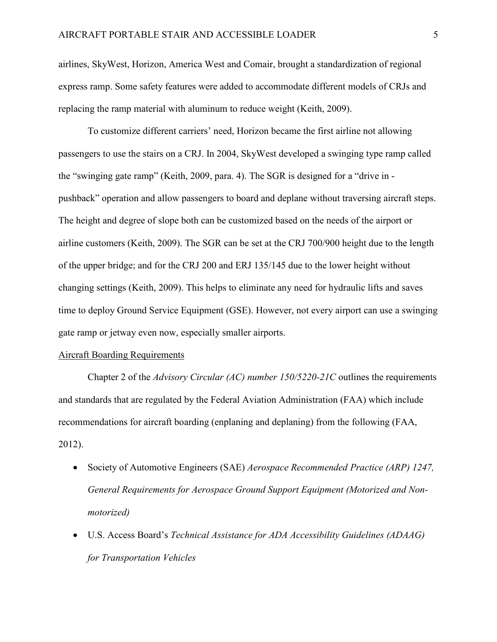airlines, SkyWest, Horizon, America West and Comair, brought a standardization of regional express ramp. Some safety features were added to accommodate different models of CRJs and replacing the ramp material with aluminum to reduce weight (Keith, 2009).

To customize different carriers' need, Horizon became the first airline not allowing passengers to use the stairs on a CRJ. In 2004, SkyWest developed a swinging type ramp called the "swinging gate ramp" (Keith, 2009, para. 4). The SGR is designed for a "drive in pushback" operation and allow passengers to board and deplane without traversing aircraft steps. The height and degree of slope both can be customized based on the needs of the airport or airline customers (Keith, 2009). The SGR can be set at the CRJ 700/900 height due to the length of the upper bridge; and for the CRJ 200 and ERJ 135/145 due to the lower height without changing settings (Keith, 2009). This helps to eliminate any need for hydraulic lifts and saves time to deploy Ground Service Equipment (GSE). However, not every airport can use a swinging gate ramp or jetway even now, especially smaller airports.

#### <span id="page-5-0"></span>Aircraft Boarding Requirements

Chapter 2 of the *Advisory Circular (AC) number 150/5220-21C* outlines the requirements and standards that are regulated by the Federal Aviation Administration (FAA) which include recommendations for aircraft boarding (enplaning and deplaning) from the following (FAA, 2012).

- Society of Automotive Engineers (SAE) *Aerospace Recommended Practice (ARP) 1247, General Requirements for Aerospace Ground Support Equipment (Motorized and Nonmotorized)*
- U.S. Access Board's *Technical Assistance for ADA Accessibility Guidelines (ADAAG) for Transportation Vehicles*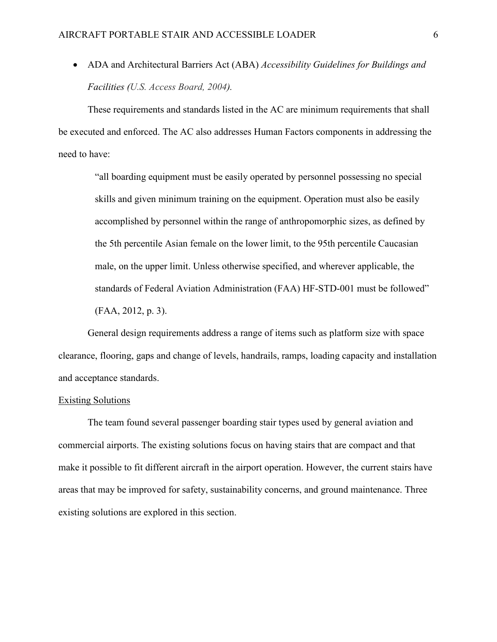• ADA and Architectural Barriers Act (ABA) *Accessibility Guidelines for Buildings and Facilities (U.S. Access Board, 2004).*

These requirements and standards listed in the AC are minimum requirements that shall be executed and enforced. The AC also addresses Human Factors components in addressing the need to have:

"all boarding equipment must be easily operated by personnel possessing no special skills and given minimum training on the equipment. Operation must also be easily accomplished by personnel within the range of anthropomorphic sizes, as defined by the 5th percentile Asian female on the lower limit, to the 95th percentile Caucasian male, on the upper limit. Unless otherwise specified, and wherever applicable, the standards of Federal Aviation Administration (FAA) HF-STD-001 must be followed" (FAA, 2012, p. 3).

General design requirements address a range of items such as platform size with space clearance, flooring, gaps and change of levels, handrails, ramps, loading capacity and installation and acceptance standards.

#### <span id="page-6-0"></span>Existing Solutions

The team found several passenger boarding stair types used by general aviation and commercial airports. The existing solutions focus on having stairs that are compact and that make it possible to fit different aircraft in the airport operation. However, the current stairs have areas that may be improved for safety, sustainability concerns, and ground maintenance. Three existing solutions are explored in this section.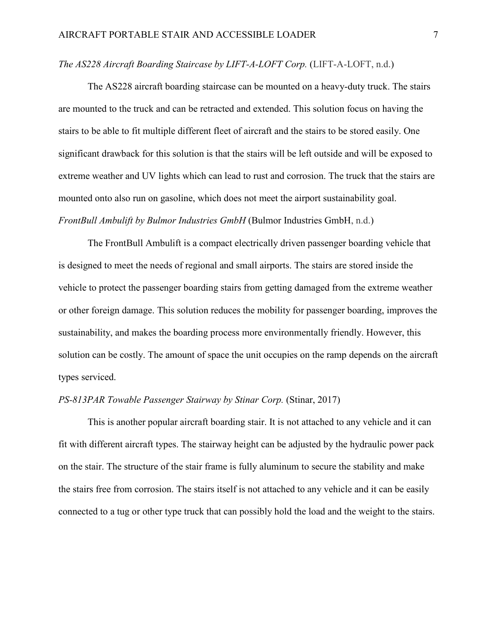### *The AS228 Aircraft Boarding Staircase by LIFT-A-LOFT Corp.* (LIFT-A-LOFT, n.d.)

The AS228 aircraft boarding staircase can be mounted on a heavy-duty truck. The stairs are mounted to the truck and can be retracted and extended. This solution focus on having the stairs to be able to fit multiple different fleet of aircraft and the stairs to be stored easily. One significant drawback for this solution is that the stairs will be left outside and will be exposed to extreme weather and UV lights which can lead to rust and corrosion. The truck that the stairs are mounted onto also run on gasoline, which does not meet the airport sustainability goal. *FrontBull Ambulift by Bulmor Industries GmbH* (Bulmor Industries GmbH, n.d.)

The FrontBull Ambulift is a compact electrically driven passenger boarding vehicle that is designed to meet the needs of regional and small airports. The stairs are stored inside the vehicle to protect the passenger boarding stairs from getting damaged from the extreme weather or other foreign damage. This solution reduces the mobility for passenger boarding, improves the sustainability, and makes the boarding process more environmentally friendly. However, this solution can be costly. The amount of space the unit occupies on the ramp depends on the aircraft types serviced.

### *PS-813PAR Towable Passenger Stairway by Stinar Corp.* (Stinar, 2017)

This is another popular aircraft boarding stair. It is not attached to any vehicle and it can fit with different aircraft types. The stairway height can be adjusted by the hydraulic power pack on the stair. The structure of the stair frame is fully aluminum to secure the stability and make the stairs free from corrosion. The stairs itself is not attached to any vehicle and it can be easily connected to a tug or other type truck that can possibly hold the load and the weight to the stairs.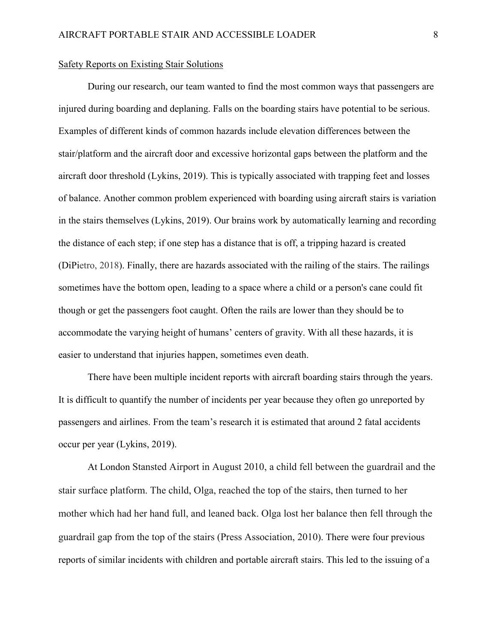#### <span id="page-8-0"></span>Safety Reports on Existing Stair Solutions

During our research, our team wanted to find the most common ways that passengers are injured during boarding and deplaning. Falls on the boarding stairs have potential to be serious. Examples of different kinds of common hazards include elevation differences between the stair/platform and the aircraft door and excessive horizontal gaps between the platform and the aircraft door threshold (Lykins, 2019). This is typically associated with trapping feet and losses of balance. Another common problem experienced with boarding using aircraft stairs is variation in the stairs themselves (Lykins, 2019). Our brains work by automatically learning and recording the distance of each step; if one step has a distance that is off, a tripping hazard is created (DiPietro, 2018). Finally, there are hazards associated with the railing of the stairs. The railings sometimes have the bottom open, leading to a space where a child or a person's cane could fit though or get the passengers foot caught. Often the rails are lower than they should be to accommodate the varying height of humans' centers of gravity. With all these hazards, it is easier to understand that injuries happen, sometimes even death.

There have been multiple incident reports with aircraft boarding stairs through the years. It is difficult to quantify the number of incidents per year because they often go unreported by passengers and airlines. From the team's research it is estimated that around 2 fatal accidents occur per year (Lykins, 2019).

At London Stansted Airport in August 2010, a child fell between the guardrail and the stair surface platform. The child, Olga, reached the top of the stairs, then turned to her mother which had her hand full, and leaned back. Olga lost her balance then fell through the guardrail gap from the top of the stairs (Press Association, 2010). There were four previous reports of similar incidents with children and portable aircraft stairs. This led to the issuing of a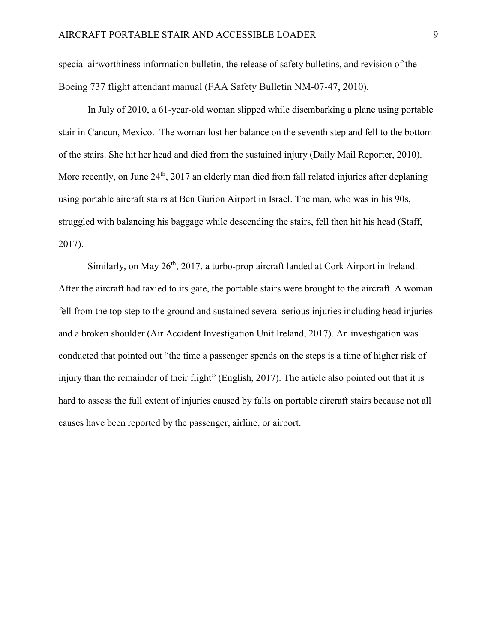special airworthiness information bulletin, the release of safety bulletins, and revision of the Boeing 737 flight attendant manual (FAA Safety Bulletin NM-07-47, 2010).

In July of 2010, a 61-year-old woman slipped while disembarking a plane using portable stair in Cancun, Mexico. The woman lost her balance on the seventh step and fell to the bottom of the stairs. She hit her head and died from the sustained injury (Daily Mail Reporter, 2010). More recently, on June  $24<sup>th</sup>$ , 2017 an elderly man died from fall related injuries after deplaning using portable aircraft stairs at Ben Gurion Airport in Israel. The man, who was in his 90s, struggled with balancing his baggage while descending the stairs, fell then hit his head (Staff, 2017).

Similarly, on May  $26<sup>th</sup>$ , 2017, a turbo-prop aircraft landed at Cork Airport in Ireland. After the aircraft had taxied to its gate, the portable stairs were brought to the aircraft. A woman fell from the top step to the ground and sustained several serious injuries including head injuries and a broken shoulder (Air Accident Investigation Unit Ireland, 2017). An investigation was conducted that pointed out "the time a passenger spends on the steps is a time of higher risk of injury than the remainder of their flight" (English, 2017). The article also pointed out that it is hard to assess the full extent of injuries caused by falls on portable aircraft stairs because not all causes have been reported by the passenger, airline, or airport.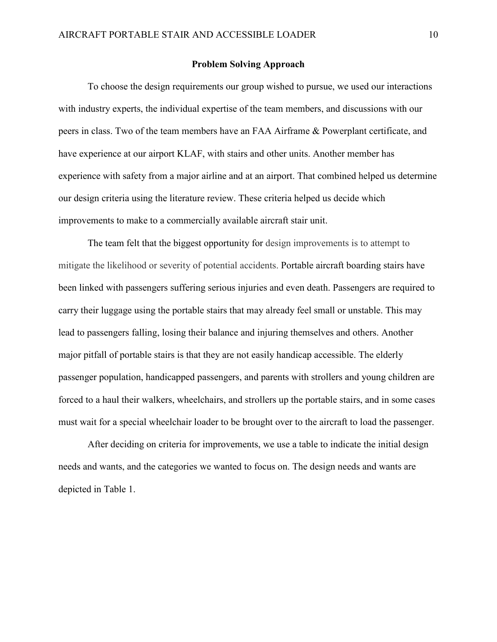#### **Problem Solving Approach**

<span id="page-10-0"></span>To choose the design requirements our group wished to pursue, we used our interactions with industry experts, the individual expertise of the team members, and discussions with our peers in class. Two of the team members have an FAA Airframe & Powerplant certificate, and have experience at our airport KLAF, with stairs and other units. Another member has experience with safety from a major airline and at an airport. That combined helped us determine our design criteria using the literature review. These criteria helped us decide which improvements to make to a commercially available aircraft stair unit.

The team felt that the biggest opportunity for design improvements is to attempt to mitigate the likelihood or severity of potential accidents. Portable aircraft boarding stairs have been linked with passengers suffering serious injuries and even death. Passengers are required to carry their luggage using the portable stairs that may already feel small or unstable. This may lead to passengers falling, losing their balance and injuring themselves and others. Another major pitfall of portable stairs is that they are not easily handicap accessible. The elderly passenger population, handicapped passengers, and parents with strollers and young children are forced to a haul their walkers, wheelchairs, and strollers up the portable stairs, and in some cases must wait for a special wheelchair loader to be brought over to the aircraft to load the passenger.

After deciding on criteria for improvements, we use a table to indicate the initial design needs and wants, and the categories we wanted to focus on. The design needs and wants are depicted in Table 1.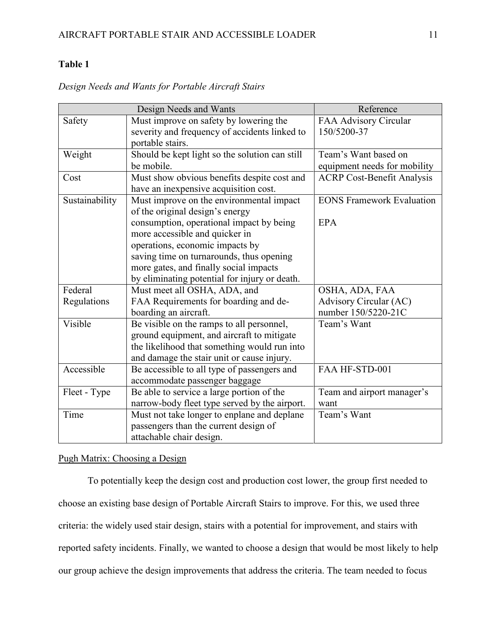## **Table 1**

|                | Design Needs and Wants                         | Reference                         |
|----------------|------------------------------------------------|-----------------------------------|
| Safety         | Must improve on safety by lowering the         | FAA Advisory Circular             |
|                | severity and frequency of accidents linked to  | 150/5200-37                       |
|                | portable stairs.                               |                                   |
| Weight         | Should be kept light so the solution can still | Team's Want based on              |
|                | be mobile.                                     | equipment needs for mobility      |
| Cost           | Must show obvious benefits despite cost and    | <b>ACRP Cost-Benefit Analysis</b> |
|                | have an inexpensive acquisition cost.          |                                   |
| Sustainability | Must improve on the environmental impact       | <b>EONS Framework Evaluation</b>  |
|                | of the original design's energy                |                                   |
|                | consumption, operational impact by being       | <b>EPA</b>                        |
|                | more accessible and quicker in                 |                                   |
|                | operations, economic impacts by                |                                   |
|                | saving time on turnarounds, thus opening       |                                   |
|                | more gates, and finally social impacts         |                                   |
|                | by eliminating potential for injury or death.  |                                   |
| Federal        | Must meet all OSHA, ADA, and                   | OSHA, ADA, FAA                    |
| Regulations    | FAA Requirements for boarding and de-          | Advisory Circular (AC)            |
|                | boarding an aircraft.                          | number 150/5220-21C               |
| Visible        | Be visible on the ramps to all personnel,      | Team's Want                       |
|                | ground equipment, and aircraft to mitigate     |                                   |
|                | the likelihood that something would run into   |                                   |
|                | and damage the stair unit or cause injury.     |                                   |
| Accessible     | Be accessible to all type of passengers and    | FAA HF-STD-001                    |
|                | accommodate passenger baggage                  |                                   |
| Fleet - Type   | Be able to service a large portion of the      | Team and airport manager's        |
|                | narrow-body fleet type served by the airport.  | want                              |
| Time           | Must not take longer to enplane and deplane    | Team's Want                       |
|                | passengers than the current design of          |                                   |
|                | attachable chair design.                       |                                   |

*Design Needs and Wants for Portable Aircraft Stairs*

#### <span id="page-11-0"></span>Pugh Matrix: Choosing a Design

To potentially keep the design cost and production cost lower, the group first needed to choose an existing base design of Portable Aircraft Stairs to improve. For this, we used three criteria: the widely used stair design, stairs with a potential for improvement, and stairs with reported safety incidents. Finally, we wanted to choose a design that would be most likely to help our group achieve the design improvements that address the criteria. The team needed to focus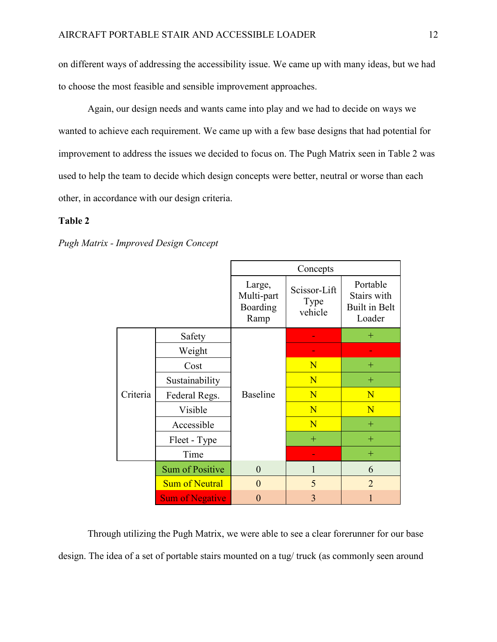on different ways of addressing the accessibility issue. We came up with many ideas, but we had to choose the most feasible and sensible improvement approaches.

Again, our design needs and wants came into play and we had to decide on ways we wanted to achieve each requirement. We came up with a few base designs that had potential for improvement to address the issues we decided to focus on. The Pugh Matrix seen in Table 2 was used to help the team to decide which design concepts were better, neutral or worse than each other, in accordance with our design criteria.

#### **Table 2**

|          |                        | Concepts                                 |                                 |                                                           |  |  |
|----------|------------------------|------------------------------------------|---------------------------------|-----------------------------------------------------------|--|--|
|          |                        | Large,<br>Multi-part<br>Boarding<br>Ramp | Scissor-Lift<br>Type<br>vehicle | Portable<br>Stairs with<br><b>Built in Belt</b><br>Loader |  |  |
|          | Safety                 |                                          |                                 | $^{+}$                                                    |  |  |
|          | Weight                 |                                          |                                 |                                                           |  |  |
|          | Cost                   |                                          | N                               | $^{+}$                                                    |  |  |
|          | Sustainability         |                                          | N                               | $+$                                                       |  |  |
| Criteria | Federal Regs.          | <b>Baseline</b>                          | N                               | N                                                         |  |  |
|          | Visible                |                                          | N                               | N                                                         |  |  |
|          | Accessible             |                                          | N                               | $+$                                                       |  |  |
|          | Fleet - Type           |                                          | $+$                             | $+$                                                       |  |  |
|          | Time                   |                                          |                                 | $^{+}$                                                    |  |  |
|          | <b>Sum of Positive</b> | $\overline{0}$                           | $\mathbf{1}$                    | 6                                                         |  |  |
|          | <b>Sum of Neutral</b>  | $\overline{0}$                           | 5                               | $\overline{2}$                                            |  |  |
|          | <b>Sum of Negative</b> | $\overline{0}$                           | $\overline{3}$                  | $\overline{1}$                                            |  |  |

*Pugh Matrix - Improved Design Concept*

Through utilizing the Pugh Matrix, we were able to see a clear forerunner for our base design. The idea of a set of portable stairs mounted on a tug/ truck (as commonly seen around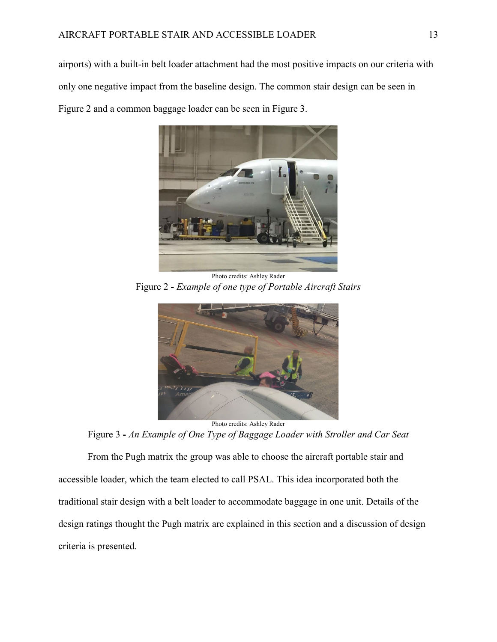airports) with a built-in belt loader attachment had the most positive impacts on our criteria with only one negative impact from the baseline design. The common stair design can be seen in Figure 2 and a common baggage loader can be seen in Figure 3.



Photo credits: Ashley Rader Figure 2 **-** *Example of one type of Portable Aircraft Stairs*



Figure 3 **-** *An Example of One Type of Baggage Loader with Stroller and Car Seat*

From the Pugh matrix the group was able to choose the aircraft portable stair and accessible loader, which the team elected to call PSAL. This idea incorporated both the traditional stair design with a belt loader to accommodate baggage in one unit. Details of the design ratings thought the Pugh matrix are explained in this section and a discussion of design criteria is presented.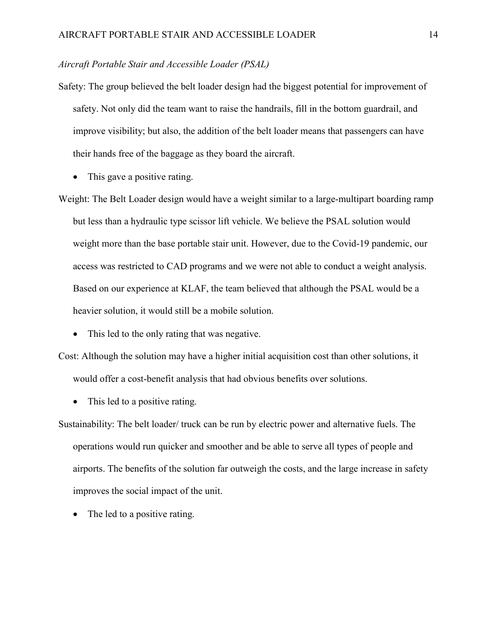#### *Aircraft Portable Stair and Accessible Loader (PSAL)*

- Safety: The group believed the belt loader design had the biggest potential for improvement of safety. Not only did the team want to raise the handrails, fill in the bottom guardrail, and improve visibility; but also, the addition of the belt loader means that passengers can have their hands free of the baggage as they board the aircraft.
	- This gave a positive rating.

Weight: The Belt Loader design would have a weight similar to a large-multipart boarding ramp but less than a hydraulic type scissor lift vehicle. We believe the PSAL solution would weight more than the base portable stair unit. However, due to the Covid-19 pandemic, our access was restricted to CAD programs and we were not able to conduct a weight analysis. Based on our experience at KLAF, the team believed that although the PSAL would be a heavier solution, it would still be a mobile solution.

• This led to the only rating that was negative.

Cost: Although the solution may have a higher initial acquisition cost than other solutions, it would offer a cost-benefit analysis that had obvious benefits over solutions.

• This led to a positive rating.

Sustainability: The belt loader/ truck can be run by electric power and alternative fuels. The operations would run quicker and smoother and be able to serve all types of people and airports. The benefits of the solution far outweigh the costs, and the large increase in safety improves the social impact of the unit.

The led to a positive rating.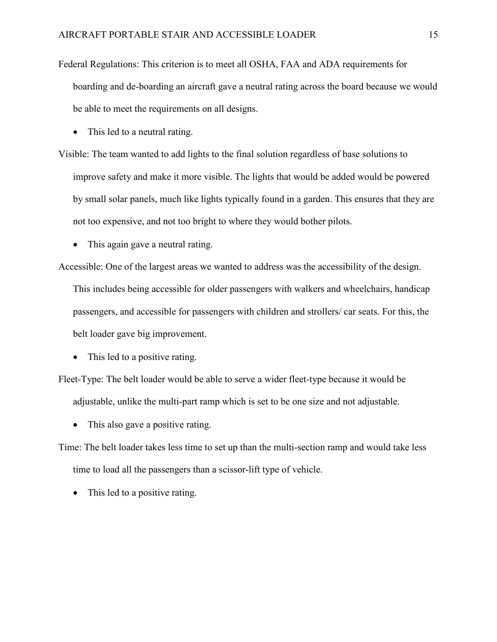- Federal Regulations: This criterion is to meet all OSHA, FAA and ADA requirements for boarding and de-boarding an aircraft gave a neutral rating across the board because we would be able to meet the requirements on all designs.
	- This led to a neutral rating.

Visible: The team wanted to add lights to the final solution regardless of base solutions to improve safety and make it more visible. The lights that would be added would be powered by small solar panels, much like lights typically found in a garden. This ensures that they are not too expensive, and not too bright to where they would bother pilots.

• This again gave a neutral rating.

Accessible: One of the largest areas we wanted to address was the accessibility of the design.

This includes being accessible for older passengers with walkers and wheelchairs, handicap passengers, and accessible for passengers with children and strollers/ car seats. For this, the belt loader gave big improvement.

• This led to a positive rating.

Fleet-Type: The belt loader would be able to serve a wider fleet-type because it would be adjustable, unlike the multi-part ramp which is set to be one size and not adjustable.

• This also gave a positive rating.

Time: The belt loader takes less time to set up than the multi-section ramp and would take less time to load all the passengers than a scissor-lift type of vehicle.

• This led to a positive rating.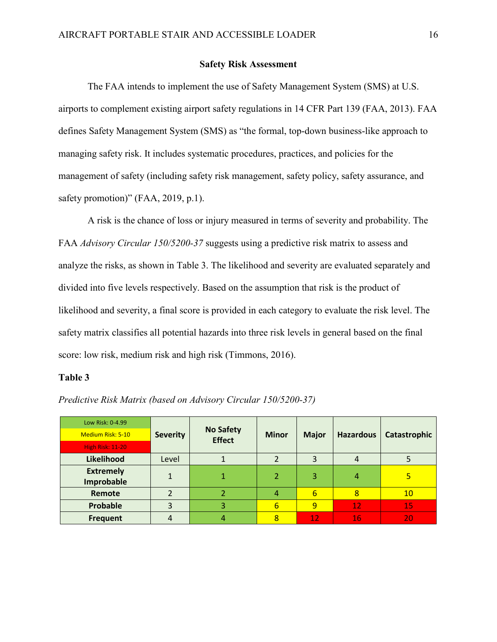#### **Safety Risk Assessment**

<span id="page-16-0"></span>The FAA intends to implement the use of Safety Management System (SMS) at U.S. airports to complement existing airport safety regulations in 14 CFR Part 139 (FAA, 2013). FAA defines Safety Management System (SMS) as "the formal, top-down business-like approach to managing safety risk. It includes systematic procedures, practices, and policies for the management of safety (including safety risk management, safety policy, safety assurance, and safety promotion)" (FAA, 2019, p.1).

A risk is the chance of loss or injury measured in terms of severity and probability. The FAA *Advisory Circular 150/5200-37* suggests using a predictive risk matrix to assess and analyze the risks, as shown in Table 3. The likelihood and severity are evaluated separately and divided into five levels respectively. Based on the assumption that risk is the product of likelihood and severity, a final score is provided in each category to evaluate the risk level. The safety matrix classifies all potential hazards into three risk levels in general based on the final score: low risk, medium risk and high risk (Timmons, 2016).

#### **Table 3**

| Low Risk: 0-4.99  |                 |                                   |              |              |                  |              |
|-------------------|-----------------|-----------------------------------|--------------|--------------|------------------|--------------|
| Medium Risk: 5-10 | <b>Severity</b> | <b>No Safety</b><br><b>Effect</b> | <b>Minor</b> | <b>Major</b> | <b>Hazardous</b> | Catastrophic |
| High Risk: 11-20  |                 |                                   |              |              |                  |              |
| Likelihood        | Level           |                                   |              | 3            |                  |              |
| <b>Extremely</b>  |                 |                                   |              | 3            | 4                | ь            |
| Improbable        |                 |                                   |              |              |                  |              |
| Remote            | า               |                                   |              | 6            | 8                | 10           |
| Probable          | 3               | 3                                 | 6            | 9            | 12               | 15           |
| <b>Frequent</b>   |                 | 4                                 |              | 12           | 16               | 20           |

*Predictive Risk Matrix (based on Advisory Circular 150/5200-37)*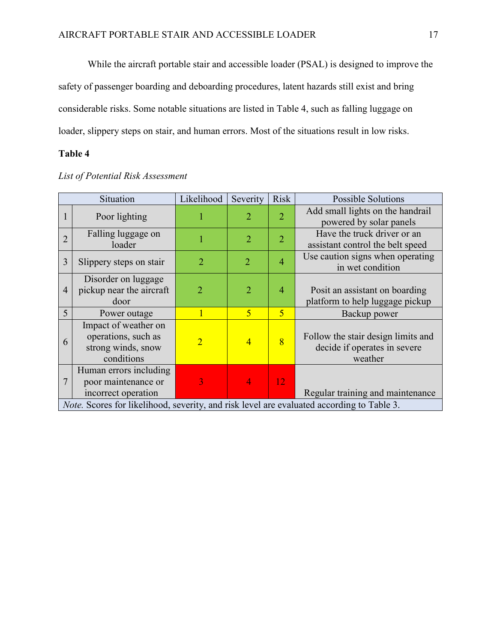While the aircraft portable stair and accessible loader (PSAL) is designed to improve the safety of passenger boarding and deboarding procedures, latent hazards still exist and bring considerable risks. Some notable situations are listed in Table 4, such as falling luggage on loader, slippery steps on stair, and human errors. Most of the situations result in low risks.

### **Table 4**

|                                                                                           | Situation                                                                       | Likelihood     | Severity       | <b>Risk</b>    | <b>Possible Solutions</b>                                                     |  |
|-------------------------------------------------------------------------------------------|---------------------------------------------------------------------------------|----------------|----------------|----------------|-------------------------------------------------------------------------------|--|
|                                                                                           | Poor lighting                                                                   |                | $\overline{2}$ | $\overline{2}$ | Add small lights on the handrail<br>powered by solar panels                   |  |
| $\overline{2}$                                                                            | Falling luggage on<br>loader                                                    |                | $\overline{2}$ | $\overline{2}$ | Have the truck driver or an<br>assistant control the belt speed               |  |
| 3                                                                                         | Slippery steps on stair                                                         | $\overline{2}$ | $\overline{2}$ | $\overline{4}$ | Use caution signs when operating<br>in wet condition                          |  |
| $\overline{4}$                                                                            | Disorder on luggage<br>pickup near the aircraft<br>door                         | $\overline{2}$ | $\overline{2}$ | $\overline{4}$ | Posit an assistant on boarding<br>platform to help luggage pickup             |  |
| 5                                                                                         | Power outage                                                                    |                | 5              | $\overline{5}$ | Backup power                                                                  |  |
| 6                                                                                         | Impact of weather on<br>operations, such as<br>strong winds, snow<br>conditions | $\overline{2}$ | $\overline{4}$ | $\overline{8}$ | Follow the stair design limits and<br>decide if operates in severe<br>weather |  |
| $\overline{7}$                                                                            | Human errors including<br>poor maintenance or<br>incorrect operation            |                | $\overline{4}$ | 12             | Regular training and maintenance                                              |  |
| Note. Scores for likelihood, severity, and risk level are evaluated according to Table 3. |                                                                                 |                |                |                |                                                                               |  |

#### *List of Potential Risk Assessment*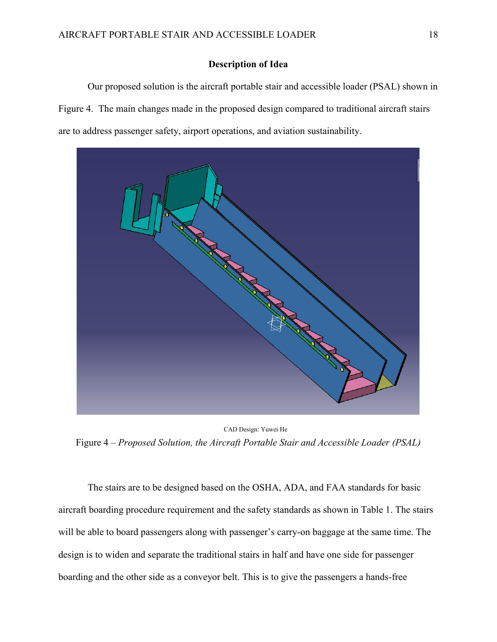#### **Description of Idea**

<span id="page-18-0"></span>Our proposed solution is the aircraft portable stair and accessible loader (PSAL) shown in Figure 4. The main changes made in the proposed design compared to traditional aircraft stairs are to address passenger safety, airport operations, and aviation sustainability.



CAD Design: Yuwei He Figure 4 – *Proposed Solution, the Aircraft Portable Stair and Accessible Loader (PSAL)*

The stairs are to be designed based on the OSHA, ADA, and FAA standards for basic aircraft boarding procedure requirement and the safety standards as shown in Table 1. The stairs will be able to board passengers along with passenger's carry-on baggage at the same time. The design is to widen and separate the traditional stairs in half and have one side for passenger boarding and the other side as a conveyor belt. This is to give the passengers a hands-free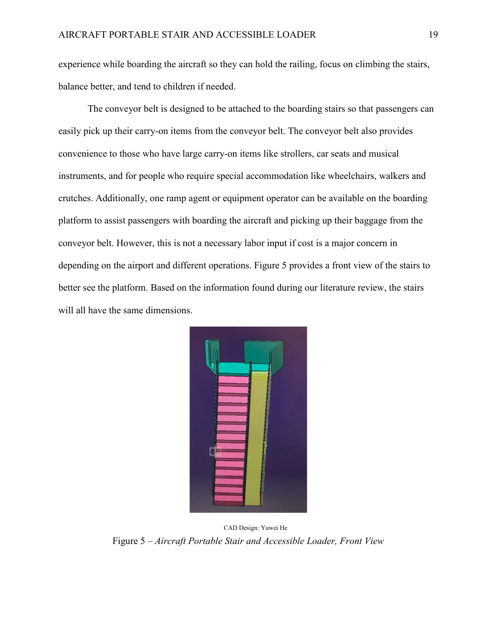experience while boarding the aircraft so they can hold the railing, focus on climbing the stairs, balance better, and tend to children if needed.

The conveyor belt is designed to be attached to the boarding stairs so that passengers can easily pick up their carry-on items from the conveyor belt. The conveyor belt also provides convenience to those who have large carry-on items like strollers, car seats and musical instruments, and for people who require special accommodation like wheelchairs, walkers and crutches. Additionally, one ramp agent or equipment operator can be available on the boarding platform to assist passengers with boarding the aircraft and picking up their baggage from the conveyor belt. However, this is not a necessary labor input if cost is a major concern in depending on the airport and different operations. Figure 5 provides a front view of the stairs to better see the platform. Based on the information found during our literature review, the stairs will all have the same dimensions.



CAD Design: Yuwei He Figure 5 – *Aircraft Portable Stair and Accessible Loader, Front View*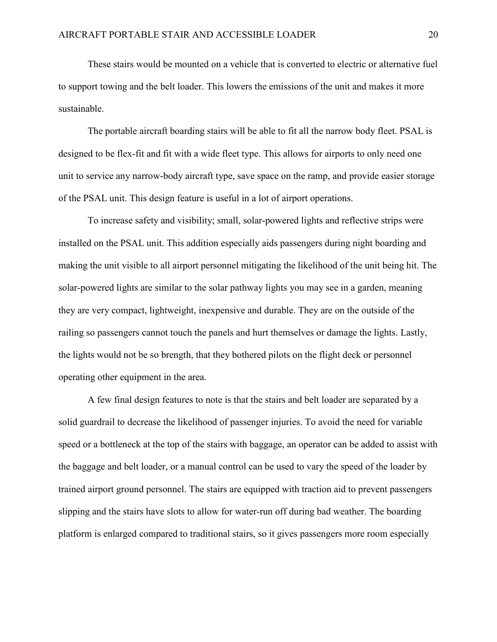These stairs would be mounted on a vehicle that is converted to electric or alternative fuel to support towing and the belt loader. This lowers the emissions of the unit and makes it more sustainable.

The portable aircraft boarding stairs will be able to fit all the narrow body fleet. PSAL is designed to be flex-fit and fit with a wide fleet type. This allows for airports to only need one unit to service any narrow-body aircraft type, save space on the ramp, and provide easier storage of the PSAL unit. This design feature is useful in a lot of airport operations.

To increase safety and visibility; small, solar-powered lights and reflective strips were installed on the PSAL unit. This addition especially aids passengers during night boarding and making the unit visible to all airport personnel mitigating the likelihood of the unit being hit. The solar-powered lights are similar to the solar pathway lights you may see in a garden, meaning they are very compact, lightweight, inexpensive and durable. They are on the outside of the railing so passengers cannot touch the panels and hurt themselves or damage the lights. Lastly, the lights would not be so brength, that they bothered pilots on the flight deck or personnel operating other equipment in the area.

A few final design features to note is that the stairs and belt loader are separated by a solid guardrail to decrease the likelihood of passenger injuries. To avoid the need for variable speed or a bottleneck at the top of the stairs with baggage, an operator can be added to assist with the baggage and belt loader, or a manual control can be used to vary the speed of the loader by trained airport ground personnel. The stairs are equipped with traction aid to prevent passengers slipping and the stairs have slots to allow for water-run off during bad weather. The boarding platform is enlarged compared to traditional stairs, so it gives passengers more room especially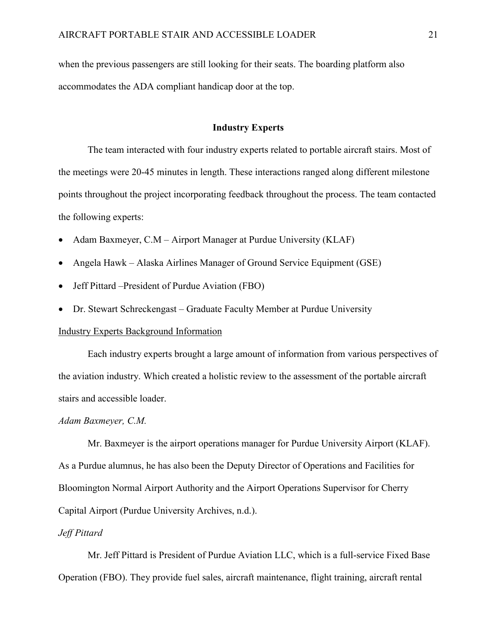when the previous passengers are still looking for their seats. The boarding platform also accommodates the ADA compliant handicap door at the top.

#### **Industry Experts**

<span id="page-21-0"></span>The team interacted with four industry experts related to portable aircraft stairs. Most of the meetings were 20-45 minutes in length. These interactions ranged along different milestone points throughout the project incorporating feedback throughout the process. The team contacted the following experts:

- Adam Baxmeyer, C.M Airport Manager at Purdue University (KLAF)
- Angela Hawk Alaska Airlines Manager of Ground Service Equipment (GSE)
- Jeff Pittard –President of Purdue Aviation (FBO)
- Dr. Stewart Schreckengast Graduate Faculty Member at Purdue University

#### <span id="page-21-1"></span>Industry Experts Background Information

Each industry experts brought a large amount of information from various perspectives of the aviation industry. Which created a holistic review to the assessment of the portable aircraft stairs and accessible loader.

#### *Adam Baxmeyer, C.M.*

Mr. Baxmeyer is the airport operations manager for Purdue University Airport (KLAF). As a Purdue alumnus, he has also been the Deputy Director of Operations and Facilities for Bloomington Normal Airport Authority and the Airport Operations Supervisor for Cherry Capital Airport (Purdue University Archives, n.d.).

#### *Jeff Pittard*

Mr. Jeff Pittard is President of Purdue Aviation LLC, which is a full-service Fixed Base Operation (FBO). They provide fuel sales, aircraft maintenance, flight training, aircraft rental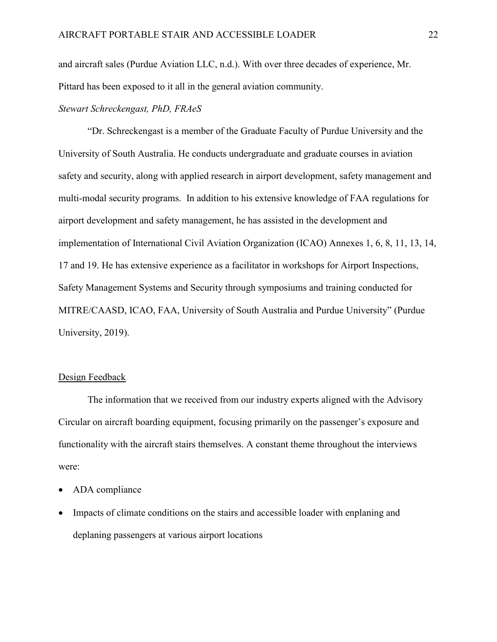and aircraft sales (Purdue Aviation LLC, n.d.). With over three decades of experience, Mr. Pittard has been exposed to it all in the general aviation community.

### *Stewart Schreckengast, PhD, FRAeS*

"Dr. Schreckengast is a member of the Graduate Faculty of Purdue University and the University of South Australia. He conducts undergraduate and graduate courses in aviation safety and security, along with applied research in airport development, safety management and multi-modal security programs. In addition to his extensive knowledge of FAA regulations for airport development and safety management, he has assisted in the development and implementation of International Civil Aviation Organization (ICAO) Annexes 1, 6, 8, 11, 13, 14, 17 and 19. He has extensive experience as a facilitator in workshops for Airport Inspections, Safety Management Systems and Security through symposiums and training conducted for MITRE/CAASD, ICAO, FAA, University of South Australia and Purdue University" (Purdue University, 2019).

#### <span id="page-22-0"></span>Design Feedback

The information that we received from our industry experts aligned with the Advisory Circular on aircraft boarding equipment, focusing primarily on the passenger's exposure and functionality with the aircraft stairs themselves. A constant theme throughout the interviews were:

- ADA compliance
- Impacts of climate conditions on the stairs and accessible loader with enplaning and deplaning passengers at various airport locations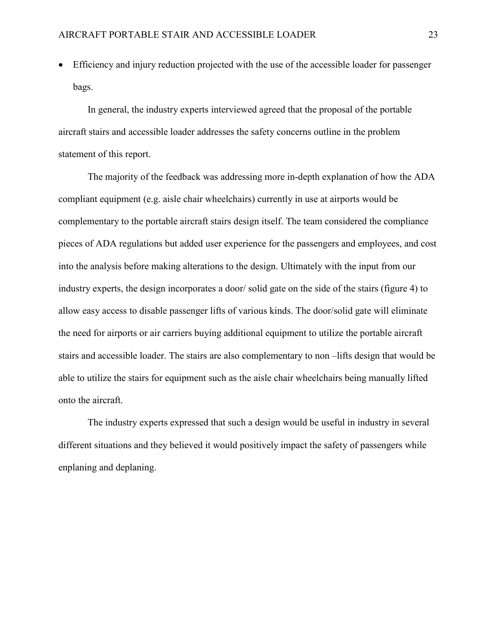Efficiency and injury reduction projected with the use of the accessible loader for passenger bags.

In general, the industry experts interviewed agreed that the proposal of the portable aircraft stairs and accessible loader addresses the safety concerns outline in the problem statement of this report.

The majority of the feedback was addressing more in-depth explanation of how the ADA compliant equipment (e.g. aisle chair wheelchairs) currently in use at airports would be complementary to the portable aircraft stairs design itself. The team considered the compliance pieces of ADA regulations but added user experience for the passengers and employees, and cost into the analysis before making alterations to the design. Ultimately with the input from our industry experts, the design incorporates a door/ solid gate on the side of the stairs (figure 4) to allow easy access to disable passenger lifts of various kinds. The door/solid gate will eliminate the need for airports or air carriers buying additional equipment to utilize the portable aircraft stairs and accessible loader. The stairs are also complementary to non –lifts design that would be able to utilize the stairs for equipment such as the aisle chair wheelchairs being manually lifted onto the aircraft.

The industry experts expressed that such a design would be useful in industry in several different situations and they believed it would positively impact the safety of passengers while enplaning and deplaning.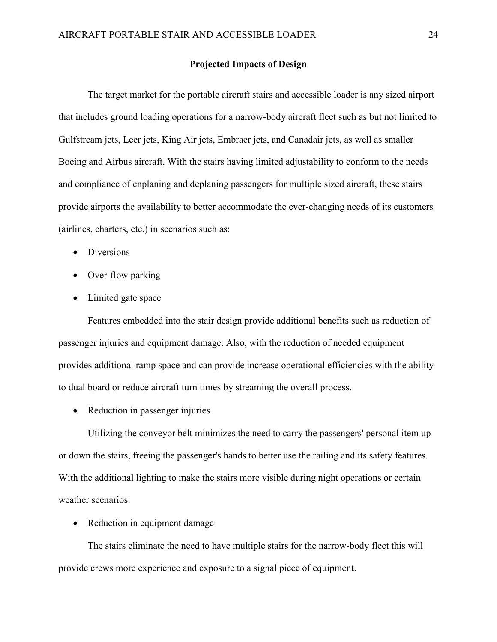#### **Projected Impacts of Design**

<span id="page-24-0"></span>The target market for the portable aircraft stairs and accessible loader is any sized airport that includes ground loading operations for a narrow-body aircraft fleet such as but not limited to Gulfstream jets, Leer jets, King Air jets, Embraer jets, and Canadair jets, as well as smaller Boeing and Airbus aircraft. With the stairs having limited adjustability to conform to the needs and compliance of enplaning and deplaning passengers for multiple sized aircraft, these stairs provide airports the availability to better accommodate the ever-changing needs of its customers (airlines, charters, etc.) in scenarios such as:

- Diversions
- Over-flow parking
- Limited gate space

Features embedded into the stair design provide additional benefits such as reduction of passenger injuries and equipment damage. Also, with the reduction of needed equipment provides additional ramp space and can provide increase operational efficiencies with the ability to dual board or reduce aircraft turn times by streaming the overall process.

• Reduction in passenger injuries

Utilizing the conveyor belt minimizes the need to carry the passengers' personal item up or down the stairs, freeing the passenger's hands to better use the railing and its safety features. With the additional lighting to make the stairs more visible during night operations or certain weather scenarios.

• Reduction in equipment damage

The stairs eliminate the need to have multiple stairs for the narrow-body fleet this will provide crews more experience and exposure to a signal piece of equipment.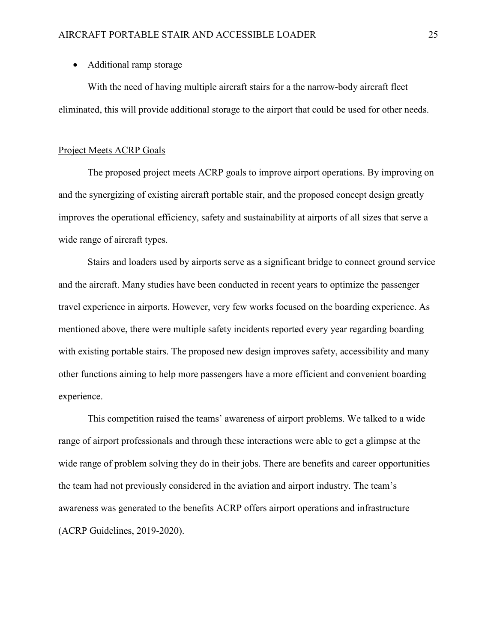#### • Additional ramp storage

With the need of having multiple aircraft stairs for a the narrow-body aircraft fleet eliminated, this will provide additional storage to the airport that could be used for other needs.

#### <span id="page-25-0"></span>Project Meets ACRP Goals

The proposed project meets ACRP goals to improve airport operations. By improving on and the synergizing of existing aircraft portable stair, and the proposed concept design greatly improves the operational efficiency, safety and sustainability at airports of all sizes that serve a wide range of aircraft types.

Stairs and loaders used by airports serve as a significant bridge to connect ground service and the aircraft. Many studies have been conducted in recent years to optimize the passenger travel experience in airports. However, very few works focused on the boarding experience. As mentioned above, there were multiple safety incidents reported every year regarding boarding with existing portable stairs. The proposed new design improves safety, accessibility and many other functions aiming to help more passengers have a more efficient and convenient boarding experience.

This competition raised the teams' awareness of airport problems. We talked to a wide range of airport professionals and through these interactions were able to get a glimpse at the wide range of problem solving they do in their jobs. There are benefits and career opportunities the team had not previously considered in the aviation and airport industry. The team's awareness was generated to the benefits ACRP offers airport operations and infrastructure (ACRP Guidelines, 2019-2020).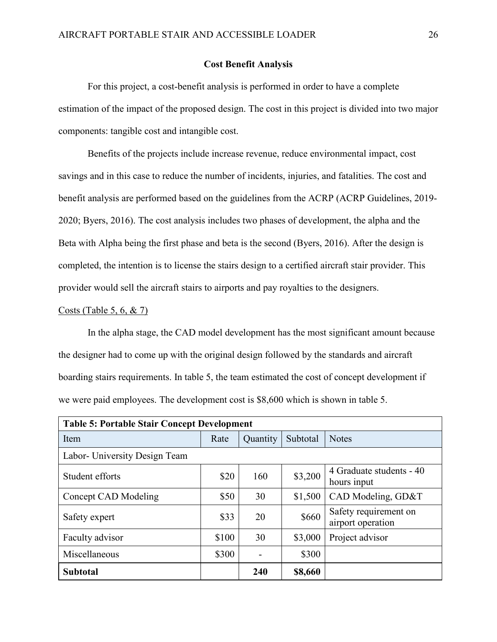#### **Cost Benefit Analysis**

<span id="page-26-0"></span>For this project, a cost-benefit analysis is performed in order to have a complete estimation of the impact of the proposed design. The cost in this project is divided into two major components: tangible cost and intangible cost.

Benefits of the projects include increase revenue, reduce environmental impact, cost savings and in this case to reduce the number of incidents, injuries, and fatalities. The cost and benefit analysis are performed based on the guidelines from the ACRP (ACRP Guidelines, 2019- 2020; Byers, 2016). The cost analysis includes two phases of development, the alpha and the Beta with Alpha being the first phase and beta is the second (Byers, 2016). After the design is completed, the intention is to license the stairs design to a certified aircraft stair provider. This provider would sell the aircraft stairs to airports and pay royalties to the designers.

#### Costs (Table 5, 6, & 7)

In the alpha stage, the CAD model development has the most significant amount because the designer had to come up with the original design followed by the standards and aircraft boarding stairs requirements. In table 5, the team estimated the cost of concept development if we were paid employees. The development cost is \$8,600 which is shown in table 5.

| <b>Table 5: Portable Stair Concept Development</b> |       |          |          |                                            |  |  |  |
|----------------------------------------------------|-------|----------|----------|--------------------------------------------|--|--|--|
| Item                                               | Rate  | Quantity | Subtotal | <b>Notes</b>                               |  |  |  |
| Labor- University Design Team                      |       |          |          |                                            |  |  |  |
| Student efforts                                    | \$20  | 160      | \$3,200  | 4 Graduate students - 40<br>hours input    |  |  |  |
| Concept CAD Modeling                               | \$50  | 30       | \$1,500  | CAD Modeling, GD&T                         |  |  |  |
| Safety expert                                      | \$33  | 20       | \$660    | Safety requirement on<br>airport operation |  |  |  |
| Faculty advisor                                    | \$100 | 30       | \$3,000  | Project advisor                            |  |  |  |
| Miscellaneous                                      | \$300 |          | \$300    |                                            |  |  |  |
| <b>Subtotal</b>                                    |       | 240      | \$8,660  |                                            |  |  |  |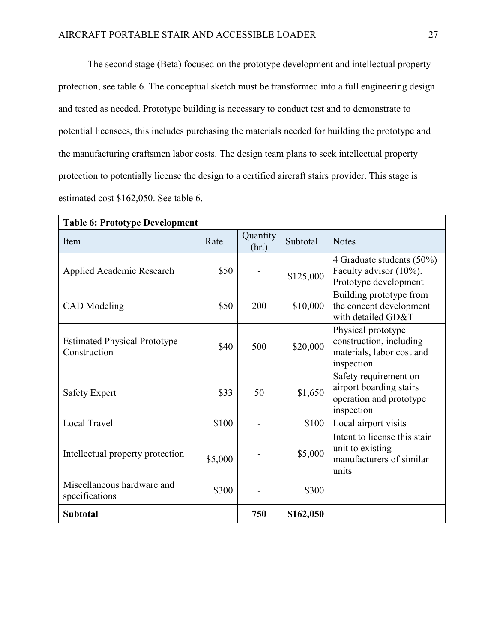The second stage (Beta) focused on the prototype development and intellectual property protection, see table 6. The conceptual sketch must be transformed into a full engineering design and tested as needed. Prototype building is necessary to conduct test and to demonstrate to potential licensees, this includes purchasing the materials needed for building the prototype and the manufacturing craftsmen labor costs. The design team plans to seek intellectual property protection to potentially license the design to a certified aircraft stairs provider. This stage is estimated cost \$162,050. See table 6.

| <b>Table 6: Prototype Development</b>               |         |                   |           |                                                                                           |  |  |
|-----------------------------------------------------|---------|-------------------|-----------|-------------------------------------------------------------------------------------------|--|--|
| Item                                                | Rate    | Quantity<br>(hr.) | Subtotal  | <b>Notes</b>                                                                              |  |  |
| Applied Academic Research                           | \$50    |                   | \$125,000 | 4 Graduate students $(50\%)$<br>Faculty advisor (10%).<br>Prototype development           |  |  |
| <b>CAD</b> Modeling                                 | \$50    | 200               | \$10,000  | Building prototype from<br>the concept development<br>with detailed GD&T                  |  |  |
| <b>Estimated Physical Prototype</b><br>Construction | \$40    | 500               | \$20,000  | Physical prototype<br>construction, including<br>materials, labor cost and<br>inspection  |  |  |
| <b>Safety Expert</b>                                | \$33    | 50                | \$1,650   | Safety requirement on<br>airport boarding stairs<br>operation and prototype<br>inspection |  |  |
| Local Travel                                        | \$100   |                   | \$100     | Local airport visits                                                                      |  |  |
| Intellectual property protection                    | \$5,000 |                   | \$5,000   | Intent to license this stair<br>unit to existing<br>manufacturers of similar<br>units     |  |  |
| Miscellaneous hardware and<br>specifications        | \$300   |                   | \$300     |                                                                                           |  |  |
| <b>Subtotal</b>                                     |         | 750               | \$162,050 |                                                                                           |  |  |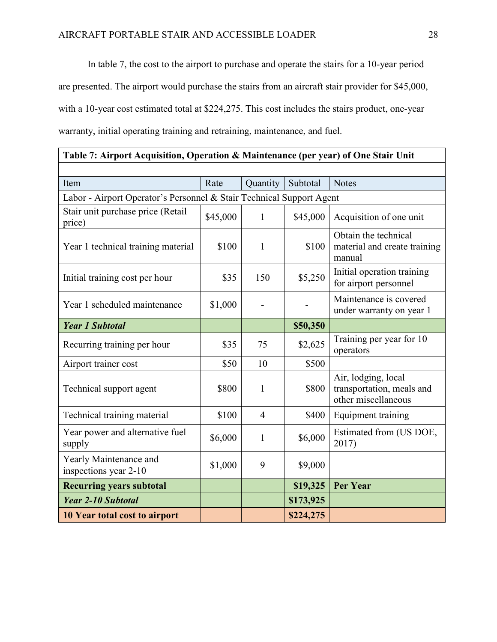In table 7, the cost to the airport to purchase and operate the stairs for a 10-year period are presented. The airport would purchase the stairs from an aircraft stair provider for \$45,000, with a 10-year cost estimated total at \$224,275. This cost includes the stairs product, one-year warranty, initial operating training and retraining, maintenance, and fuel.

## **Table 7: Airport Acquisition, Operation & Maintenance (per year) of One Stair Unit**

| Item                                                                 | Rate     | Quantity       | Subtotal  | <b>Notes</b>                                                            |  |  |  |
|----------------------------------------------------------------------|----------|----------------|-----------|-------------------------------------------------------------------------|--|--|--|
| Labor - Airport Operator's Personnel & Stair Technical Support Agent |          |                |           |                                                                         |  |  |  |
| Stair unit purchase price (Retail<br>price)                          | \$45,000 | 1              | \$45,000  | Acquisition of one unit                                                 |  |  |  |
| Year 1 technical training material                                   | \$100    | 1              | \$100     | Obtain the technical<br>material and create training<br>manual          |  |  |  |
| Initial training cost per hour                                       | \$35     | 150            | \$5,250   | Initial operation training<br>for airport personnel                     |  |  |  |
| Year 1 scheduled maintenance                                         | \$1,000  |                |           | Maintenance is covered<br>under warranty on year 1                      |  |  |  |
| <b>Year 1 Subtotal</b>                                               |          |                | \$50,350  |                                                                         |  |  |  |
| Recurring training per hour                                          | \$35     | 75             | \$2,625   | Training per year for 10<br>operators                                   |  |  |  |
| Airport trainer cost                                                 | \$50     | 10             | \$500     |                                                                         |  |  |  |
| Technical support agent                                              | \$800    | 1              | \$800     | Air, lodging, local<br>transportation, meals and<br>other miscellaneous |  |  |  |
| Technical training material                                          | \$100    | $\overline{4}$ | \$400     | Equipment training                                                      |  |  |  |
| Year power and alternative fuel<br>supply                            | \$6,000  | 1              | \$6,000   | Estimated from (US DOE,<br>2017)                                        |  |  |  |
| Yearly Maintenance and<br>inspections year 2-10                      | \$1,000  | 9              | \$9,000   |                                                                         |  |  |  |
| <b>Recurring years subtotal</b>                                      |          |                | \$19,325  | <b>Per Year</b>                                                         |  |  |  |
| Year 2-10 Subtotal                                                   |          |                | \$173,925 |                                                                         |  |  |  |
| 10 Year total cost to airport                                        |          |                | \$224,275 |                                                                         |  |  |  |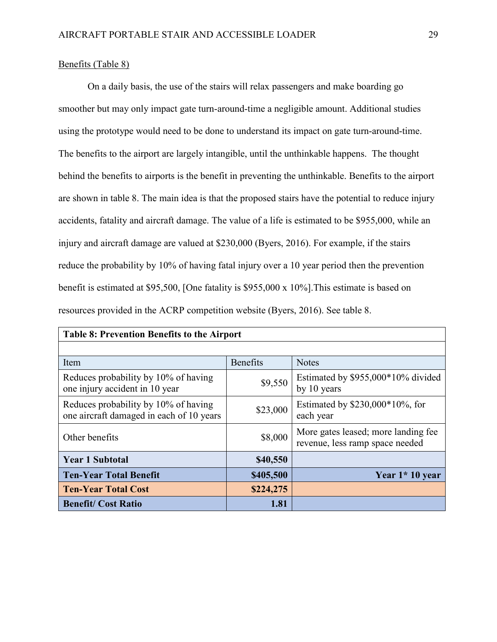### Benefits (Table 8)

On a daily basis, the use of the stairs will relax passengers and make boarding go smoother but may only impact gate turn-around-time a negligible amount. Additional studies using the prototype would need to be done to understand its impact on gate turn-around-time. The benefits to the airport are largely intangible, until the unthinkable happens. The thought behind the benefits to airports is the benefit in preventing the unthinkable. Benefits to the airport are shown in table 8. The main idea is that the proposed stairs have the potential to reduce injury accidents, fatality and aircraft damage. The value of a life is estimated to be \$955,000, while an injury and aircraft damage are valued at \$230,000 (Byers, 2016). For example, if the stairs reduce the probability by 10% of having fatal injury over a 10 year period then the prevention benefit is estimated at \$95,500, [One fatality is \$955,000 x 10%].This estimate is based on resources provided in the ACRP competition website (Byers, 2016). See table 8.

| <b>Table 8: Prevention Benefits to the Airport</b>                               |           |                                                                        |  |  |
|----------------------------------------------------------------------------------|-----------|------------------------------------------------------------------------|--|--|
|                                                                                  |           |                                                                        |  |  |
| Item                                                                             | Benefits  | <b>Notes</b>                                                           |  |  |
| Reduces probability by 10% of having<br>one injury accident in 10 year           | \$9,550   | Estimated by \$955,000*10% divided<br>by 10 years                      |  |  |
| Reduces probability by 10% of having<br>one aircraft damaged in each of 10 years | \$23,000  | Estimated by $$230,000*10%$ , for<br>each year                         |  |  |
| Other benefits                                                                   | \$8,000   | More gates leased; more landing fee<br>revenue, less ramp space needed |  |  |
| <b>Year 1 Subtotal</b>                                                           | \$40,550  |                                                                        |  |  |
| <b>Ten-Year Total Benefit</b>                                                    | \$405,500 | Year $1*10$ year                                                       |  |  |
| <b>Ten-Year Total Cost</b>                                                       | \$224,275 |                                                                        |  |  |
| <b>Benefit/Cost Ratio</b>                                                        | 1.81      |                                                                        |  |  |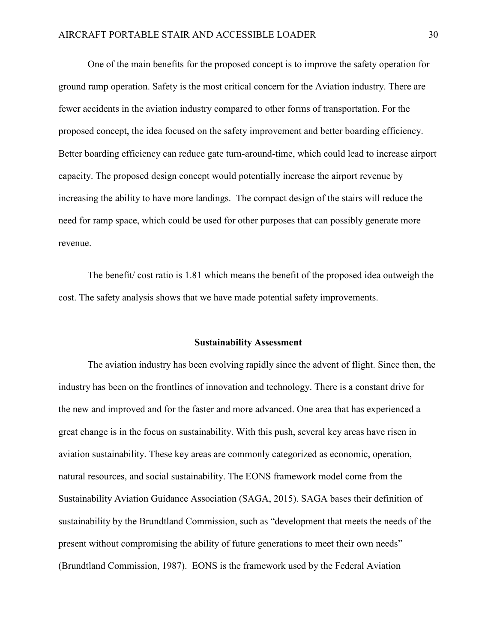One of the main benefits for the proposed concept is to improve the safety operation for ground ramp operation. Safety is the most critical concern for the Aviation industry. There are fewer accidents in the aviation industry compared to other forms of transportation. For the proposed concept, the idea focused on the safety improvement and better boarding efficiency. Better boarding efficiency can reduce gate turn-around-time, which could lead to increase airport capacity. The proposed design concept would potentially increase the airport revenue by increasing the ability to have more landings. The compact design of the stairs will reduce the need for ramp space, which could be used for other purposes that can possibly generate more revenue.

The benefit/ cost ratio is 1.81 which means the benefit of the proposed idea outweigh the cost. The safety analysis shows that we have made potential safety improvements.

#### **Sustainability Assessment**

<span id="page-30-0"></span>The aviation industry has been evolving rapidly since the advent of flight. Since then, the industry has been on the frontlines of innovation and technology. There is a constant drive for the new and improved and for the faster and more advanced. One area that has experienced a great change is in the focus on sustainability. With this push, several key areas have risen in aviation sustainability. These key areas are commonly categorized as economic, operation, natural resources, and social sustainability. The EONS framework model come from the Sustainability Aviation Guidance Association (SAGA, 2015). SAGA bases their definition of sustainability by the Brundtland Commission, such as "development that meets the needs of the present without compromising the ability of future generations to meet their own needs" (Brundtland Commission, 1987). EONS is the framework used by the Federal Aviation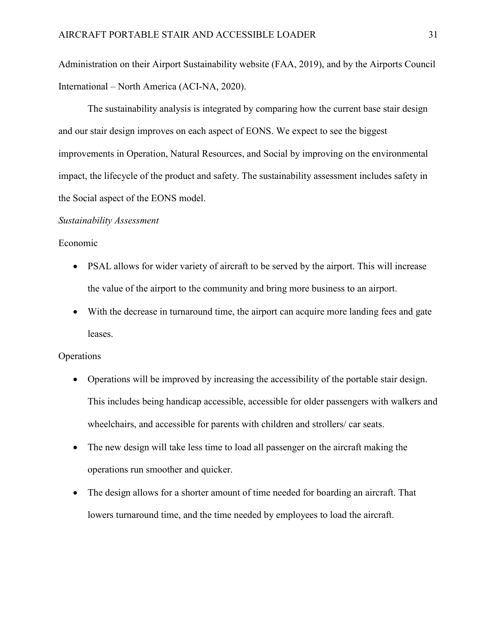Administration on their Airport Sustainability website (FAA, 2019), and by the Airports Council International – North America (ACI-NA, 2020).

The sustainability analysis is integrated by comparing how the current base stair design and our stair design improves on each aspect of EONS. We expect to see the biggest improvements in Operation, Natural Resources, and Social by improving on the environmental impact, the lifecycle of the product and safety. The sustainability assessment includes safety in the Social aspect of the EONS model.

#### *Sustainability Assessment*

#### Economic

- PSAL allows for wider variety of aircraft to be served by the airport. This will increase the value of the airport to the community and bring more business to an airport.
- With the decrease in turnaround time, the airport can acquire more landing fees and gate leases.

#### **Operations**

- Operations will be improved by increasing the accessibility of the portable stair design. This includes being handicap accessible, accessible for older passengers with walkers and wheelchairs, and accessible for parents with children and strollers/ car seats.
- The new design will take less time to load all passenger on the aircraft making the operations run smoother and quicker.
- The design allows for a shorter amount of time needed for boarding an aircraft. That lowers turnaround time, and the time needed by employees to load the aircraft.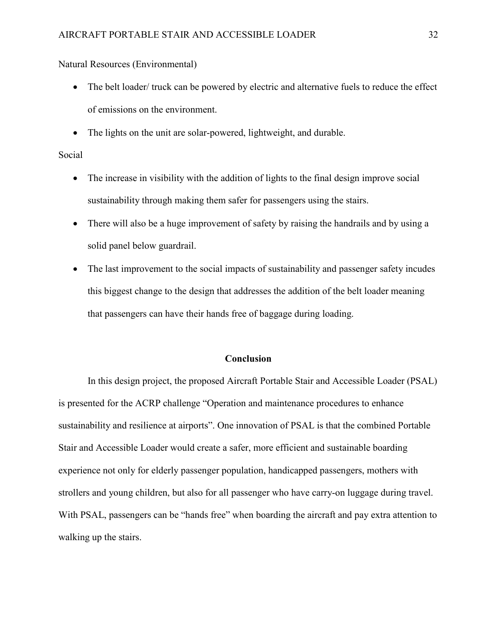Natural Resources (Environmental)

- The belt loader/ truck can be powered by electric and alternative fuels to reduce the effect of emissions on the environment.
- The lights on the unit are solar-powered, lightweight, and durable.

#### Social

- The increase in visibility with the addition of lights to the final design improve social sustainability through making them safer for passengers using the stairs.
- There will also be a huge improvement of safety by raising the handrails and by using a solid panel below guardrail.
- The last improvement to the social impacts of sustainability and passenger safety incudes this biggest change to the design that addresses the addition of the belt loader meaning that passengers can have their hands free of baggage during loading.

#### **Conclusion**

<span id="page-32-0"></span>In this design project, the proposed Aircraft Portable Stair and Accessible Loader (PSAL) is presented for the ACRP challenge "Operation and maintenance procedures to enhance sustainability and resilience at airports". One innovation of PSAL is that the combined Portable Stair and Accessible Loader would create a safer, more efficient and sustainable boarding experience not only for elderly passenger population, handicapped passengers, mothers with strollers and young children, but also for all passenger who have carry-on luggage during travel. With PSAL, passengers can be "hands free" when boarding the aircraft and pay extra attention to walking up the stairs.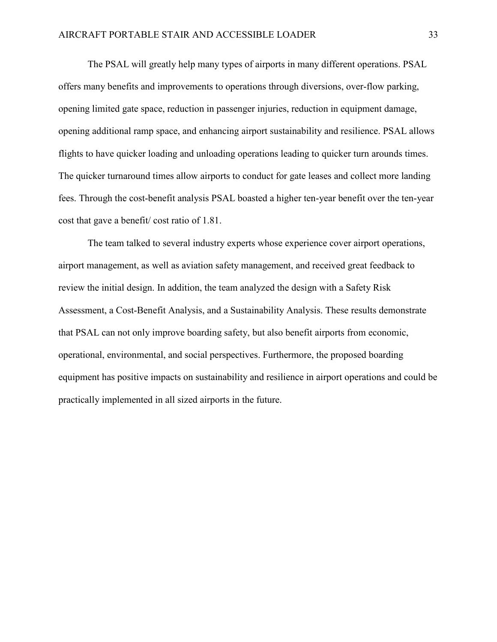The PSAL will greatly help many types of airports in many different operations. PSAL offers many benefits and improvements to operations through diversions, over-flow parking, opening limited gate space, reduction in passenger injuries, reduction in equipment damage, opening additional ramp space, and enhancing airport sustainability and resilience. PSAL allows flights to have quicker loading and unloading operations leading to quicker turn arounds times. The quicker turnaround times allow airports to conduct for gate leases and collect more landing fees. Through the cost-benefit analysis PSAL boasted a higher ten-year benefit over the ten-year cost that gave a benefit/ cost ratio of 1.81.

The team talked to several industry experts whose experience cover airport operations, airport management, as well as aviation safety management, and received great feedback to review the initial design. In addition, the team analyzed the design with a Safety Risk Assessment, a Cost-Benefit Analysis, and a Sustainability Analysis. These results demonstrate that PSAL can not only improve boarding safety, but also benefit airports from economic, operational, environmental, and social perspectives. Furthermore, the proposed boarding equipment has positive impacts on sustainability and resilience in airport operations and could be practically implemented in all sized airports in the future.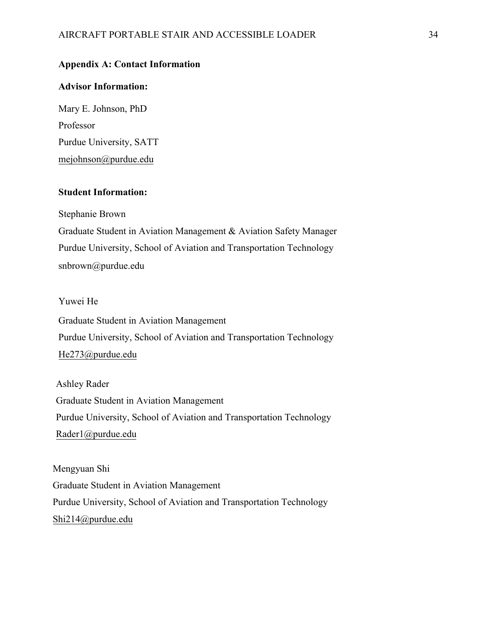### <span id="page-34-0"></span>**Appendix A: Contact Information**

#### **Advisor Information:**

Mary E. Johnson, PhD Professor Purdue University, SATT mejohnson@purdue.edu

### **[Student Information:](about:blank)**

Stephanie Brown

Graduate Student in Aviation Management & Aviation Safety Manager Purdue University, School of Aviation and Transportation Technology snbrown@purdue.edu

### Yuwei He

Graduate Student in Aviation Management Purdue University, School of Aviation and Transportation Technology [He273@purdue.edu](about:blank)

Ashley Rader Graduate Student in Aviation Management Purdue University, School of Aviation and Transportation Technology Rader1@purdue.edu

Mengyuan Shi [Graduate Student in A](about:blank)viation Management Purdue University, School of Aviation and Transportation Technology Shi214@purdue.edu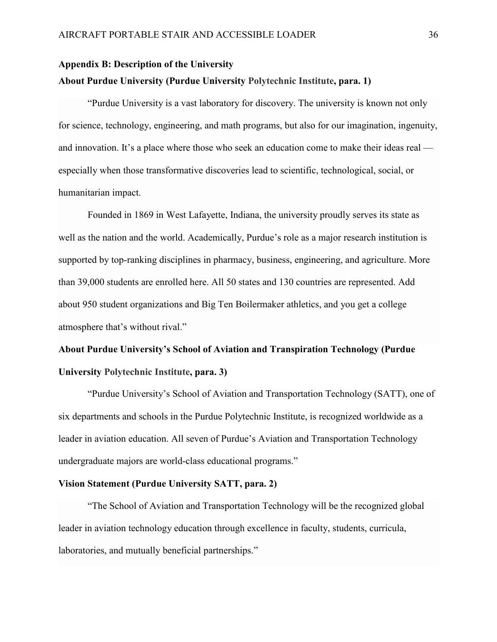## <span id="page-35-0"></span>**Appendix B: Description of the University About Purdue University (Purdue University Polytechnic Institute, para. 1)**

"Purdue University is a vast laboratory for discovery. The university is known not only for science, technology, engineering, and math programs, but also for our imagination, ingenuity, and innovation. It's a place where those who seek an education come to make their ideas real especially when those transformative discoveries lead to scientific, technological, social, or humanitarian impact.

Founded in 1869 in West Lafayette, Indiana, the university proudly serves its state as well as the nation and the world. Academically, Purdue's role as a major research institution is supported by top-ranking disciplines in pharmacy, business, engineering, and agriculture. More than 39,000 students are enrolled here. All 50 states and 130 countries are represented. Add about 950 student organizations and Big Ten Boilermaker athletics, and you get a college atmosphere that's without rival."

# **About Purdue University's School of Aviation and Transpiration Technology (Purdue University Polytechnic Institute, para. 3)**

"Purdue University's School of Aviation and Transportation Technology (SATT), one of six departments and schools in the Purdue Polytechnic Institute, is recognized worldwide as a leader in aviation education. All seven of Purdue's Aviation and Transportation Technology undergraduate majors are world-class educational programs."

#### **Vision Statement (Purdue University SATT, para. 2)**

"The School of Aviation and Transportation Technology will be the recognized global leader in aviation technology education through excellence in faculty, students, curricula, laboratories, and mutually beneficial partnerships."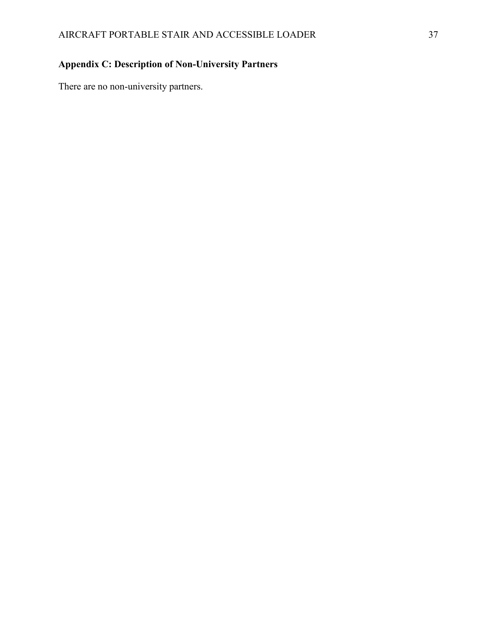## <span id="page-36-0"></span>**Appendix C: Description of Non-University Partners**

There are no non-university partners.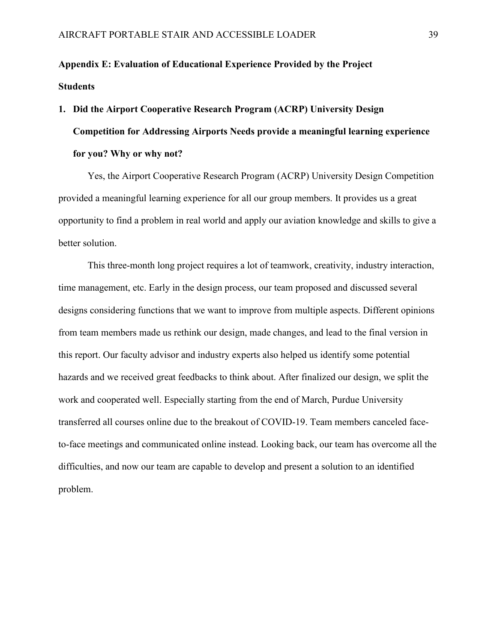# <span id="page-37-0"></span>**Appendix E: Evaluation of Educational Experience Provided by the Project Students**

# **1. Did the Airport Cooperative Research Program (ACRP) University Design Competition for Addressing Airports Needs provide a meaningful learning experience for you? Why or why not?**

Yes, the Airport Cooperative Research Program (ACRP) University Design Competition provided a meaningful learning experience for all our group members. It provides us a great opportunity to find a problem in real world and apply our aviation knowledge and skills to give a better solution.

This three-month long project requires a lot of teamwork, creativity, industry interaction, time management, etc. Early in the design process, our team proposed and discussed several designs considering functions that we want to improve from multiple aspects. Different opinions from team members made us rethink our design, made changes, and lead to the final version in this report. Our faculty advisor and industry experts also helped us identify some potential hazards and we received great feedbacks to think about. After finalized our design, we split the work and cooperated well. Especially starting from the end of March, Purdue University transferred all courses online due to the breakout of COVID-19. Team members canceled faceto-face meetings and communicated online instead. Looking back, our team has overcome all the difficulties, and now our team are capable to develop and present a solution to an identified problem.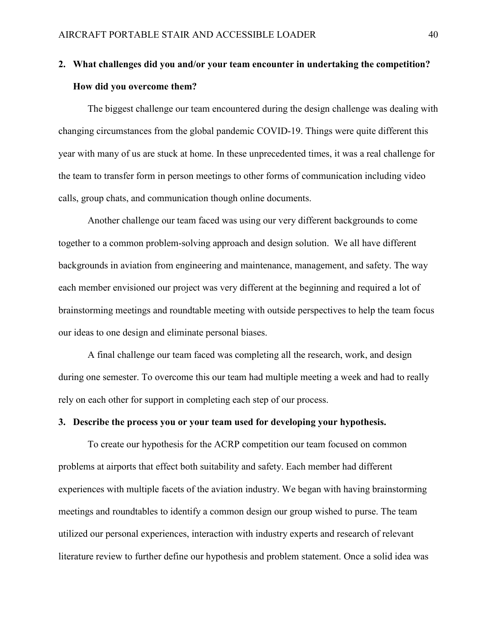## **2. What challenges did you and/or your team encounter in undertaking the competition? How did you overcome them?**

The biggest challenge our team encountered during the design challenge was dealing with changing circumstances from the global pandemic COVID-19. Things were quite different this year with many of us are stuck at home. In these unprecedented times, it was a real challenge for the team to transfer form in person meetings to other forms of communication including video calls, group chats, and communication though online documents.

Another challenge our team faced was using our very different backgrounds to come together to a common problem-solving approach and design solution. We all have different backgrounds in aviation from engineering and maintenance, management, and safety. The way each member envisioned our project was very different at the beginning and required a lot of brainstorming meetings and roundtable meeting with outside perspectives to help the team focus our ideas to one design and eliminate personal biases.

A final challenge our team faced was completing all the research, work, and design during one semester. To overcome this our team had multiple meeting a week and had to really rely on each other for support in completing each step of our process.

#### **3. Describe the process you or your team used for developing your hypothesis.**

To create our hypothesis for the ACRP competition our team focused on common problems at airports that effect both suitability and safety. Each member had different experiences with multiple facets of the aviation industry. We began with having brainstorming meetings and roundtables to identify a common design our group wished to purse. The team utilized our personal experiences, interaction with industry experts and research of relevant literature review to further define our hypothesis and problem statement. Once a solid idea was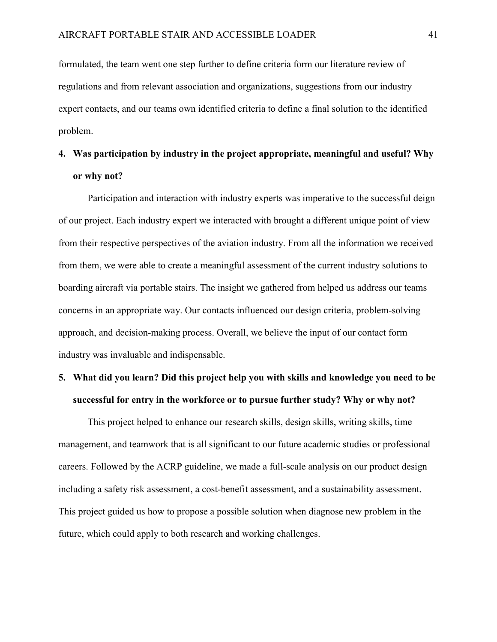formulated, the team went one step further to define criteria form our literature review of regulations and from relevant association and organizations, suggestions from our industry expert contacts, and our teams own identified criteria to define a final solution to the identified problem.

# **4. Was participation by industry in the project appropriate, meaningful and useful? Why or why not?**

Participation and interaction with industry experts was imperative to the successful deign of our project. Each industry expert we interacted with brought a different unique point of view from their respective perspectives of the aviation industry. From all the information we received from them, we were able to create a meaningful assessment of the current industry solutions to boarding aircraft via portable stairs. The insight we gathered from helped us address our teams concerns in an appropriate way. Our contacts influenced our design criteria, problem-solving approach, and decision-making process. Overall, we believe the input of our contact form industry was invaluable and indispensable.

## **5. What did you learn? Did this project help you with skills and knowledge you need to be successful for entry in the workforce or to pursue further study? Why or why not?**

This project helped to enhance our research skills, design skills, writing skills, time management, and teamwork that is all significant to our future academic studies or professional careers. Followed by the ACRP guideline, we made a full-scale analysis on our product design including a safety risk assessment, a cost-benefit assessment, and a sustainability assessment. This project guided us how to propose a possible solution when diagnose new problem in the future, which could apply to both research and working challenges.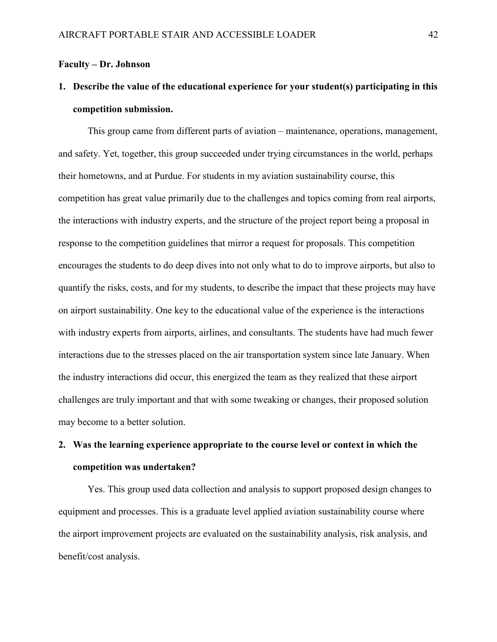#### **Faculty – Dr. Johnson**

## **1. Describe the value of the educational experience for your student(s) participating in this competition submission.**

This group came from different parts of aviation – maintenance, operations, management, and safety. Yet, together, this group succeeded under trying circumstances in the world, perhaps their hometowns, and at Purdue. For students in my aviation sustainability course, this competition has great value primarily due to the challenges and topics coming from real airports, the interactions with industry experts, and the structure of the project report being a proposal in response to the competition guidelines that mirror a request for proposals. This competition encourages the students to do deep dives into not only what to do to improve airports, but also to quantify the risks, costs, and for my students, to describe the impact that these projects may have on airport sustainability. One key to the educational value of the experience is the interactions with industry experts from airports, airlines, and consultants. The students have had much fewer interactions due to the stresses placed on the air transportation system since late January. When the industry interactions did occur, this energized the team as they realized that these airport challenges are truly important and that with some tweaking or changes, their proposed solution may become to a better solution.

## **2. Was the learning experience appropriate to the course level or context in which the competition was undertaken?**

Yes. This group used data collection and analysis to support proposed design changes to equipment and processes. This is a graduate level applied aviation sustainability course where the airport improvement projects are evaluated on the sustainability analysis, risk analysis, and benefit/cost analysis.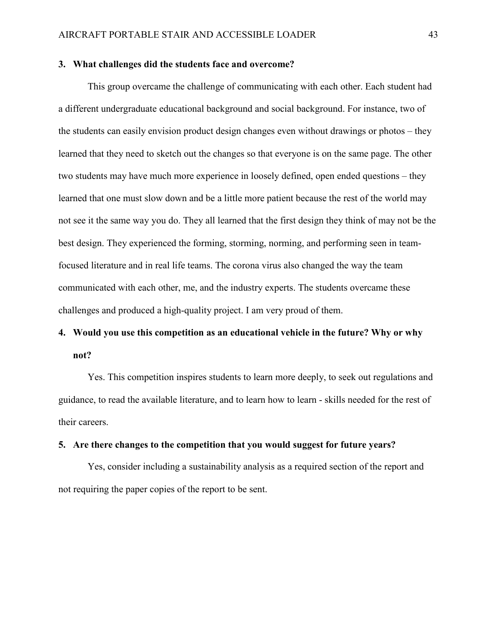#### **3. What challenges did the students face and overcome?**

This group overcame the challenge of communicating with each other. Each student had a different undergraduate educational background and social background. For instance, two of the students can easily envision product design changes even without drawings or photos – they learned that they need to sketch out the changes so that everyone is on the same page. The other two students may have much more experience in loosely defined, open ended questions – they learned that one must slow down and be a little more patient because the rest of the world may not see it the same way you do. They all learned that the first design they think of may not be the best design. They experienced the forming, storming, norming, and performing seen in teamfocused literature and in real life teams. The corona virus also changed the way the team communicated with each other, me, and the industry experts. The students overcame these challenges and produced a high-quality project. I am very proud of them.

## **4. Would you use this competition as an educational vehicle in the future? Why or why not?**

Yes. This competition inspires students to learn more deeply, to seek out regulations and guidance, to read the available literature, and to learn how to learn - skills needed for the rest of their careers.

#### **5. Are there changes to the competition that you would suggest for future years?**

Yes, consider including a sustainability analysis as a required section of the report and not requiring the paper copies of the report to be sent.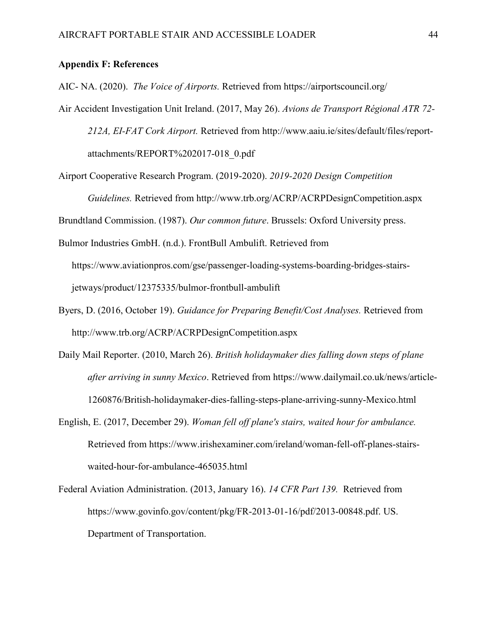#### <span id="page-42-0"></span>**Appendix F: References**

AIC- NA. (2020). *The Voice of Airports.* Retrieved from https://airportscouncil.org/

- Air Accident Investigation Unit Ireland. (2017, May 26). *Avions de Transport Régional ATR 72- 212A, EI-FAT Cork Airport.* Retrieved from http://www.aaiu.ie/sites/default/files/reportattachments/REPORT%202017-018\_0.pdf
- Airport Cooperative Research Program. (2019-2020). *2019-2020 Design Competition*

*Guidelines.* Retrieved from http://www.trb.org/ACRP/ACRPDesignCompetition.aspx

Brundtland Commission. (1987). *Our common future*. Brussels: Oxford University press.

- Bulmor Industries GmbH. (n.d.). FrontBull Ambulift. Retrieved from https://www.aviationpros.com/gse/passenger-loading-systems-boarding-bridges-stairsjetways/product/12375335/bulmor-frontbull-ambulift
- Byers, D. (2016, October 19). *Guidance for Preparing Benefit/Cost Analyses.* Retrieved from http://www.trb.org/ACRP/ACRPDesignCompetition.aspx
- Daily Mail Reporter. (2010, March 26). *British holidaymaker dies falling down steps of plane after arriving in sunny Mexico*. Retrieved from [https://www.dailymail.co.uk/news/article-](about:blank)[1260876/British-holidaymaker-dies-falling-steps-plane-arriving-sunny-Mexico.html](about:blank)
- English, E. (2017, December 29). *Woman fell off plane's stairs, waited hour for ambulance.* Retrieved from [https://www.irishexaminer.com/ireland/woman-fell-off-planes-stairs](about:blank)[waited-hour-for-ambulance-465035.html](about:blank)
- Federal Aviation Administration. (2013, January 16). *14 CFR Part 139.* Retrieved from https://www.govinfo.gov/content/pkg/FR-2013-01-16/pdf/2013-00848.pdf. US. Department of Transportation.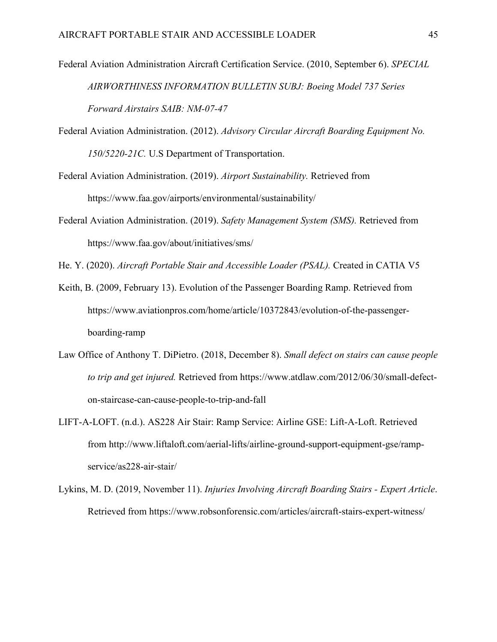- Federal Aviation Administration Aircraft Certification Service. (2010, September 6). *SPECIAL AIRWORTHINESS INFORMATION BULLETIN SUBJ: Boeing Model 737 Series Forward Airstairs SAIB: NM-07-47*
- Federal Aviation Administration. (2012). *Advisory Circular Aircraft Boarding Equipment No. 150/5220-21C.* U.S Department of Transportation.
- Federal Aviation Administration. (2019). *Airport Sustainability.* Retrieved from https://www.faa.gov/airports/environmental/sustainability/
- Federal Aviation Administration. (2019). *Safety Management System (SMS).* Retrieved from https://www.faa.gov/about/initiatives/sms/

He. Y. (2020). *Aircraft Portable Stair and Accessible Loader (PSAL).* Created in CATIA V5

- Keith, B. (2009, February 13). Evolution of the Passenger Boarding Ramp. Retrieved from https://www.aviationpros.com/home/article/10372843/evolution-of-the-passengerboarding-ramp
- Law Office of Anthony T. DiPietro. (2018, December 8). *Small defect on stairs can cause people to trip and get injured.* Retrieved from [https://www.atdlaw.com/2012/06/30/small-defect](about:blank)[on-staircase-can-cause-people-to-trip-and-fall](about:blank)
- LIFT-A-LOFT. (n.d.). AS228 Air Stair: Ramp Service: Airline GSE: Lift-A-Loft. Retrieved from http://www.liftaloft.com/aerial-lifts/airline-ground-support-equipment-gse/rampservice/as228-air-stair/
- Lykins, M. D. (2019, November 11). *Injuries Involving Aircraft Boarding Stairs - Expert Article*. Retrieved from [https://www.robsonforensic.com/articles/aircraft-stairs-expert-witness/](about:blank)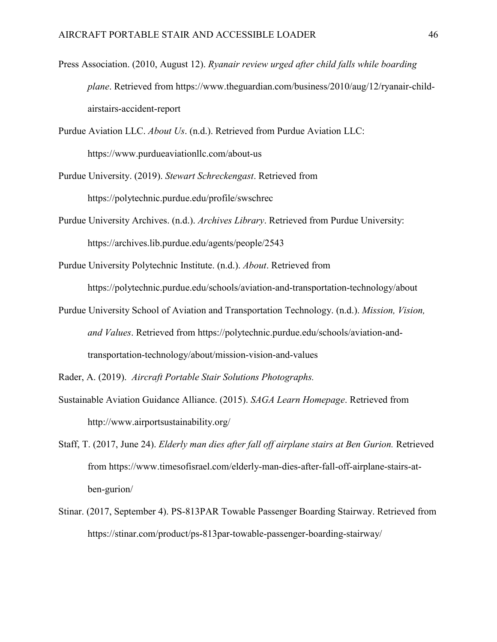- Press Association. (2010, August 12). *Ryanair review urged after child falls while boarding plane*. Retrieved from [https://www.theguardian.com/business/2010/aug/12/ryanair-child](about:blank)[airstairs-accident-report](about:blank)
- Purdue Aviation LLC. *About Us*. (n.d.). Retrieved from Purdue Aviation LLC: https://www.purdueaviationllc.com/about-us
- Purdue University. (2019). *Stewart Schreckengast*. Retrieved from https://polytechnic.purdue.edu/profile/swschrec
- Purdue University Archives. (n.d.). *Archives Library*. Retrieved from Purdue University: https://archives.lib.purdue.edu/agents/people/2543
- Purdue University Polytechnic Institute. (n.d.). *About*. Retrieved from https://polytechnic.purdue.edu/schools/aviation-and-transportation-technology/about
- Purdue University School of Aviation and Transportation Technology. (n.d.). *Mission, Vision, and Values*. Retrieved from https://polytechnic.purdue.edu/schools/aviation-andtransportation-technology/about/mission-vision-and-values

Rader, A. (2019). *Aircraft Portable Stair Solutions Photographs.*

- Sustainable Aviation Guidance Alliance. (2015). *SAGA Learn Homepage*. Retrieved from [http://www.airportsustainability.org/](about:blank)
- Staff, T. (2017, June 24). *Elderly man dies after fall off airplane stairs at Ben Gurion.* Retrieved from [https://www.timesofisrael.com/elderly-man-dies-after-fall-off-airplane-stairs-at](about:blank)[ben-gurion/](about:blank)
- Stinar. (2017, September 4). PS-813PAR Towable Passenger Boarding Stairway. Retrieved from https://stinar.com/product/ps-813par-towable-passenger-boarding-stairway/